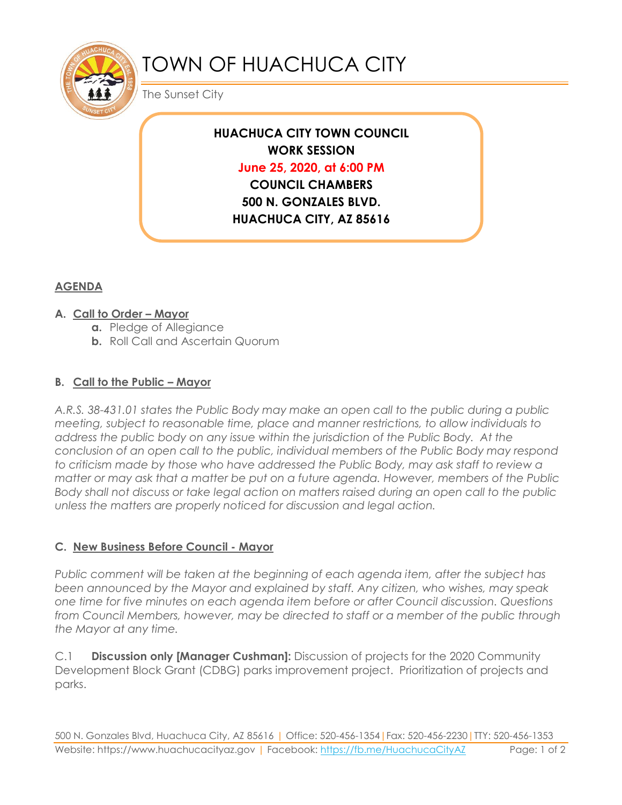

# TOWN OF HUACHUCA CITY

The Sunset City

## **HUACHUCA CITY TOWN COUNCIL WORK SESSION June 25, 2020, at 6:00 PM COUNCIL CHAMBERS 500 N. GONZALES BLVD. HUACHUCA CITY, AZ 85616**

### **AGENDA**

#### **A. Call to Order – Mayor**

- **a.** Pledge of Allegiance
- **b.** Roll Call and Ascertain Quorum

#### **B. Call to the Public – Mayor**

*A.R.S. 38-431.01 states the Public Body may make an open call to the public during a public meeting, subject to reasonable time, place and manner restrictions, to allow individuals to address the public body on any issue within the jurisdiction of the Public Body. At the conclusion of an open call to the public, individual members of the Public Body may respond to criticism made by those who have addressed the Public Body, may ask staff to review a matter or may ask that a matter be put on a future agenda. However, members of the Public Body shall not discuss or take legal action on matters raised during an open call to the public unless the matters are properly noticed for discussion and legal action.*

#### **C. New Business Before Council - Mayor**

*Public comment will be taken at the beginning of each agenda item, after the subject has been announced by the Mayor and explained by staff. Any citizen, who wishes, may speak one time for five minutes on each agenda item before or after Council discussion. Questions from Council Members, however, may be directed to staff or a member of the public through the Mayor at any time.* 

C.1 **Discussion only [Manager Cushman]:** Discussion of projects for the 2020 Community Development Block Grant (CDBG) parks improvement project. Prioritization of projects and parks.